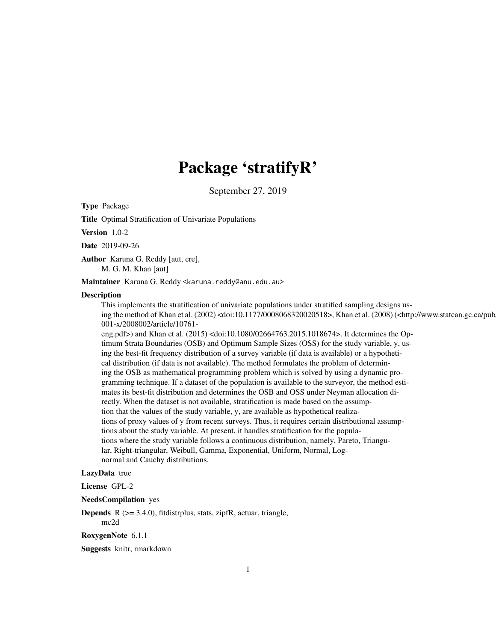# Package 'stratifyR'

September 27, 2019

Type Package

Title Optimal Stratification of Univariate Populations

Version 1.0-2

Date 2019-09-26

Author Karuna G. Reddy [aut, cre],

M. G. M. Khan [aut]

Maintainer Karuna G. Reddy <karuna.reddy@anu.edu.au>

#### **Description**

This implements the stratification of univariate populations under stratified sampling designs using the method of Khan et al. (2002) <doi:10.1177/0008068320020518>, Khan et al. (2008) (<http://www.statcan.gc.ca/pub/12- 001-x/2008002/article/10761-

eng.pdf>) and Khan et al. (2015) <doi:10.1080/02664763.2015.1018674>. It determines the Optimum Strata Boundaries (OSB) and Optimum Sample Sizes (OSS) for the study variable, y, using the best-fit frequency distribution of a survey variable (if data is available) or a hypothetical distribution (if data is not available). The method formulates the problem of determining the OSB as mathematical programming problem which is solved by using a dynamic programming technique. If a dataset of the population is available to the surveyor, the method estimates its best-fit distribution and determines the OSB and OSS under Neyman allocation directly. When the dataset is not available, stratification is made based on the assumption that the values of the study variable, y, are available as hypothetical realizations of proxy values of y from recent surveys. Thus, it requires certain distributional assumptions about the study variable. At present, it handles stratification for the populations where the study variable follows a continuous distribution, namely, Pareto, Triangular, Right-triangular, Weibull, Gamma, Exponential, Uniform, Normal, Lognormal and Cauchy distributions.

#### LazyData true

#### License GPL-2

NeedsCompilation yes

**Depends**  $R$  ( $>= 3.4.0$ ), fitdistrplus, stats, zipfR, actuar, triangle, mc2d

RoxygenNote 6.1.1

Suggests knitr, rmarkdown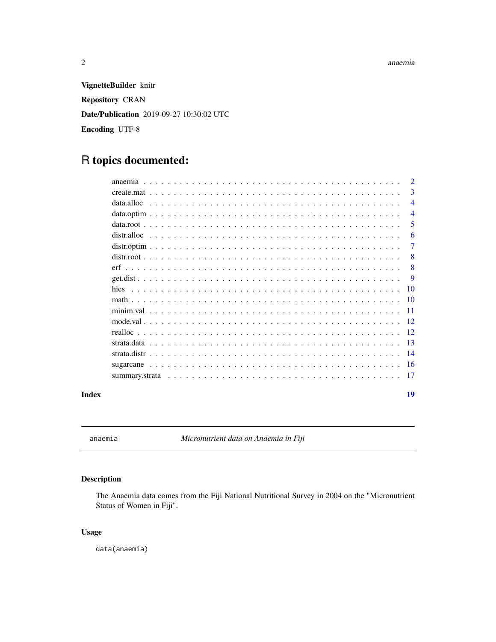#### <span id="page-1-0"></span>2 anaemia

VignetteBuilder knitr Repository CRAN Date/Publication 2019-09-27 10:30:02 UTC Encoding UTF-8

## R topics documented:

| Index |            | 19             |
|-------|------------|----------------|
|       |            |                |
|       |            |                |
|       |            |                |
|       |            |                |
|       |            |                |
|       |            |                |
|       |            |                |
|       |            |                |
|       |            |                |
|       |            | <b>9</b>       |
|       |            | -8             |
|       |            | -8             |
|       |            | 7              |
|       |            | 6              |
|       |            | 5              |
|       |            | $\overline{4}$ |
|       | data.alloc | $\overline{4}$ |
|       |            | 3              |
|       |            | $\overline{2}$ |

anaemia *Micronutrient data on Anaemia in Fiji*

#### Description

The Anaemia data comes from the Fiji National Nutritional Survey in 2004 on the "Micronutrient Status of Women in Fiji".

#### Usage

data(anaemia)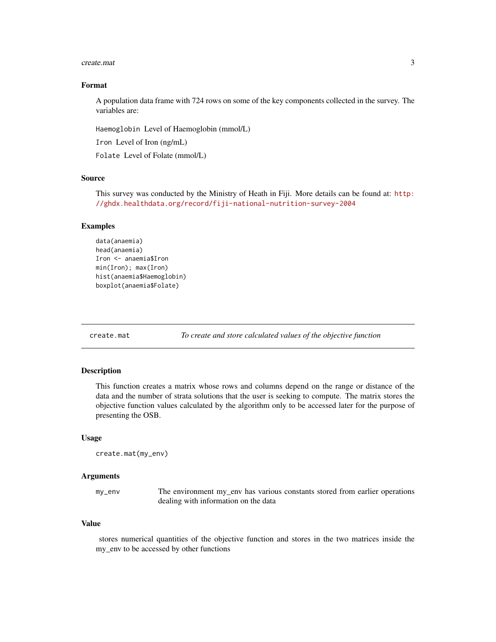#### <span id="page-2-0"></span>create.mat 3

#### Format

A population data frame with 724 rows on some of the key components collected in the survey. The variables are:

Haemoglobin Level of Haemoglobin (mmol/L)

Iron Level of Iron (ng/mL)

Folate Level of Folate (mmol/L)

#### Source

This survey was conducted by the Ministry of Heath in Fiji. More details can be found at: [http:](http://ghdx.healthdata.org/record/fiji-national-nutrition-survey-2004) [//ghdx.healthdata.org/record/fiji-national-nutrition-survey-2004](http://ghdx.healthdata.org/record/fiji-national-nutrition-survey-2004)

#### Examples

```
data(anaemia)
head(anaemia)
Iron <- anaemia$Iron
min(Iron); max(Iron)
hist(anaemia$Haemoglobin)
boxplot(anaemia$Folate)
```
create.mat *To create and store calculated values of the objective function*

#### Description

This function creates a matrix whose rows and columns depend on the range or distance of the data and the number of strata solutions that the user is seeking to compute. The matrix stores the objective function values calculated by the algorithm only to be accessed later for the purpose of presenting the OSB.

#### Usage

```
create.mat(my_env)
```
#### Arguments

my\_env The environment my\_env has various constants stored from earlier operations dealing with information on the data

#### Value

stores numerical quantities of the objective function and stores in the two matrices inside the my\_env to be accessed by other functions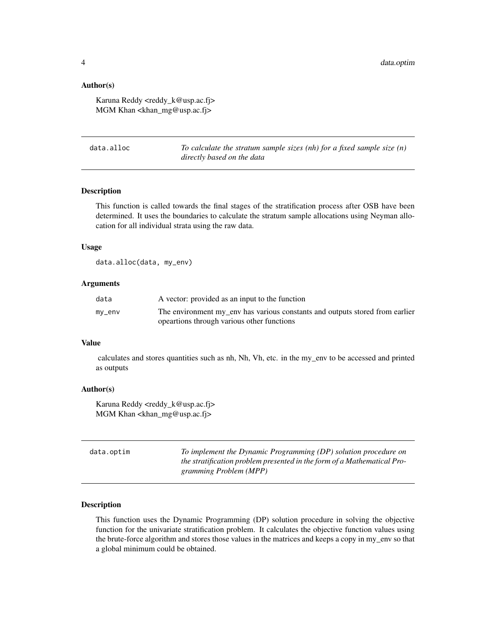#### <span id="page-3-0"></span>Author(s)

Karuna Reddy <reddy k@usp.ac.fj> MGM Khan <khan\_mg@usp.ac.fj>

data.alloc *To calculate the stratum sample sizes (nh) for a fixed sample size (n) directly based on the data*

#### Description

This function is called towards the final stages of the stratification process after OSB have been determined. It uses the boundaries to calculate the stratum sample allocations using Neyman allocation for all individual strata using the raw data.

#### Usage

data.alloc(data, my\_env)

#### Arguments

| data   | A vector: provided as an input to the function                               |
|--------|------------------------------------------------------------------------------|
| my_env | The environment my env has various constants and outputs stored from earlier |
|        | opeartions through various other functions                                   |

#### Value

calculates and stores quantities such as nh, Nh, Vh, etc. in the my\_env to be accessed and printed as outputs

#### Author(s)

Karuna Reddy <reddy k@usp.ac.fj> MGM Khan <khan\_mg@usp.ac.fj>

| data.optim | To implement the Dynamic Programming (DP) solution procedure on<br>the stratification problem presented in the form of a Mathematical Pro-<br>gramming Problem (MPP) |
|------------|----------------------------------------------------------------------------------------------------------------------------------------------------------------------|
|            |                                                                                                                                                                      |

#### Description

This function uses the Dynamic Programming (DP) solution procedure in solving the objective function for the univariate stratification problem. It calculates the objective function values using the brute-force algorithm and stores those values in the matrices and keeps a copy in my\_env so that a global minimum could be obtained.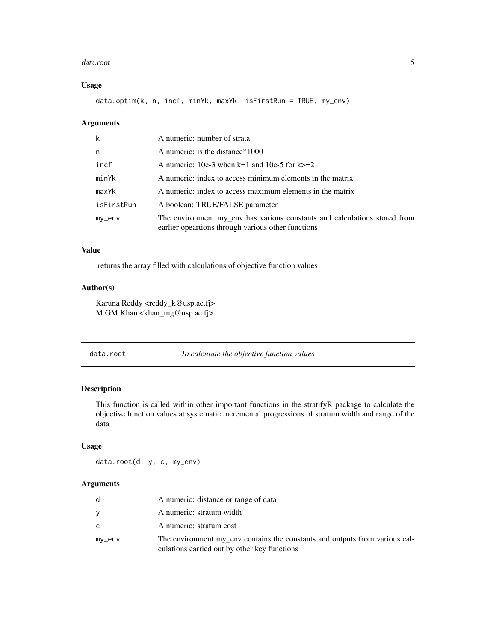#### <span id="page-4-0"></span>data.root 5

#### Usage

data.optim(k, n, incf, minYk, maxYk, isFirstRun = TRUE, my\_env)

#### Arguments

| k          | A numeric: number of strata                                                                                                     |
|------------|---------------------------------------------------------------------------------------------------------------------------------|
| n          | A numeric: is the distance $*1000$                                                                                              |
| incf       | A numeric: 10e-3 when k=1 and 10e-5 for k $>=$ 2                                                                                |
| minYk      | A numeric: index to access minimum elements in the matrix                                                                       |
| maxYk      | A numeric: index to access maximum elements in the matrix                                                                       |
| isFirstRun | A boolean: TRUE/FALSE parameter                                                                                                 |
| $my$ _env  | The environment my_env has various constants and calculations stored from<br>earlier opeartions through various other functions |

#### Value

returns the array filled with calculations of objective function values

#### Author(s)

Karuna Reddy <reddy\_k@usp.ac.fj> M GM Khan <khan\_mg@usp.ac.fj>

| data.root | To calculate the objective function values |
|-----------|--------------------------------------------|
|-----------|--------------------------------------------|

#### Description

This function is called within other important functions in the stratifyR package to calculate the objective function values at systematic incremental progressions of stratum width and range of the data

#### Usage

data.root(d, y, c, my\_env)

#### Arguments

| d         | A numeric: distance or range of data                                                                                        |
|-----------|-----------------------------------------------------------------------------------------------------------------------------|
| v         | A numeric: stratum width                                                                                                    |
| C         | A numeric: stratum cost                                                                                                     |
| $my$ _env | The environment my_env contains the constants and outputs from various cal-<br>culations carried out by other key functions |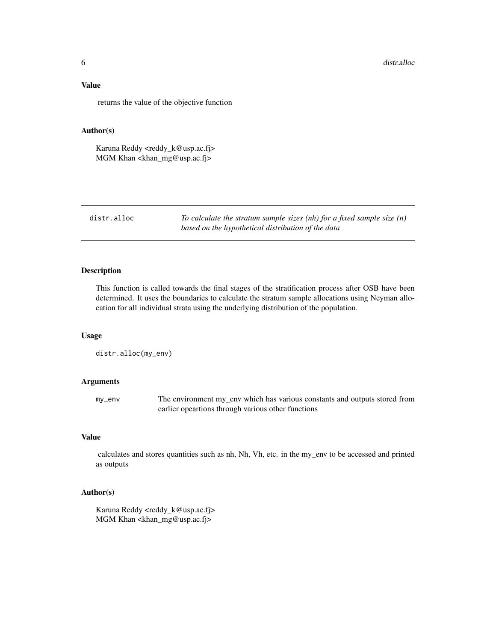#### <span id="page-5-0"></span>Value

returns the value of the objective function

#### Author(s)

Karuna Reddy <reddy\_k@usp.ac.fj> MGM Khan <khan\_mg@usp.ac.fj>

distr.alloc *To calculate the stratum sample sizes (nh) for a fixed sample size (n) based on the hypothetical distribution of the data*

#### Description

This function is called towards the final stages of the stratification process after OSB have been determined. It uses the boundaries to calculate the stratum sample allocations using Neyman allocation for all individual strata using the underlying distribution of the population.

#### Usage

distr.alloc(my\_env)

#### Arguments

my\_env The environment my\_env which has various constants and outputs stored from earlier opeartions through various other functions

#### Value

calculates and stores quantities such as nh, Nh, Vh, etc. in the my\_env to be accessed and printed as outputs

#### Author(s)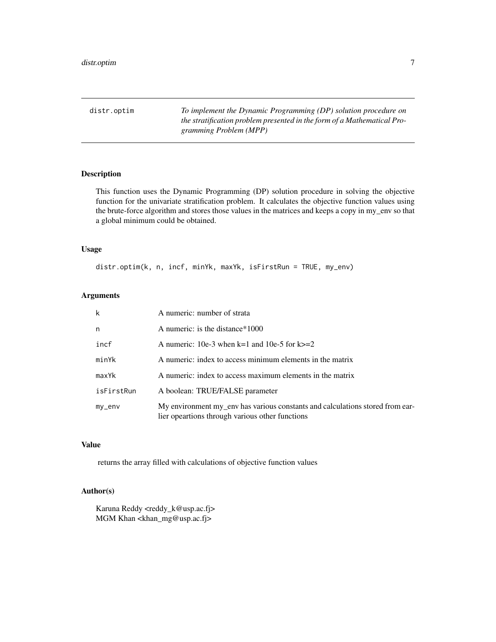<span id="page-6-0"></span>distr.optim *To implement the Dynamic Programming (DP) solution procedure on the stratification problem presented in the form of a Mathematical Programming Problem (MPP)*

#### Description

This function uses the Dynamic Programming (DP) solution procedure in solving the objective function for the univariate stratification problem. It calculates the objective function values using the brute-force algorithm and stores those values in the matrices and keeps a copy in my\_env so that a global minimum could be obtained.

#### Usage

distr.optim(k, n, incf, minYk, maxYk, isFirstRun = TRUE, my\_env)

#### Arguments

| $\mathsf k$  | A numeric: number of strata                                                                                                      |
|--------------|----------------------------------------------------------------------------------------------------------------------------------|
| n            | A numeric: is the distance $*1000$                                                                                               |
| incf         | A numeric: 10e-3 when $k=1$ and 10e-5 for $k>=2$                                                                                 |
| minYk        | A numeric: index to access minimum elements in the matrix                                                                        |
| maxYk        | A numeric: index to access maximum elements in the matrix                                                                        |
| isFirstRun   | A boolean: TRUE/FALSE parameter                                                                                                  |
| $my$ _en $v$ | My environment my_env has various constants and calculations stored from ear-<br>lier opeartions through various other functions |

#### Value

returns the array filled with calculations of objective function values

#### Author(s)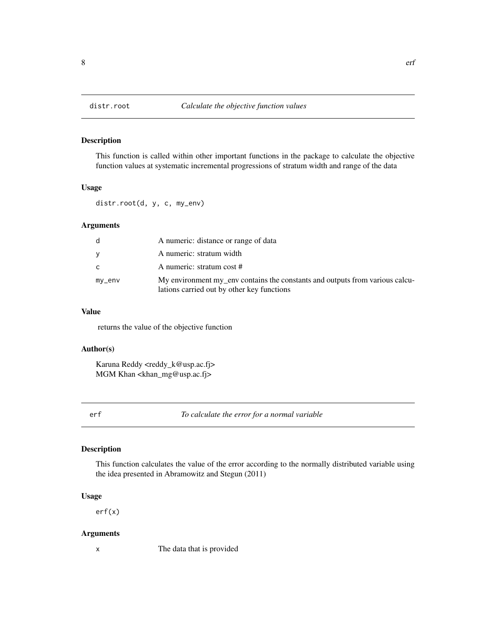<span id="page-7-0"></span>

#### Description

This function is called within other important functions in the package to calculate the objective function values at systematic incremental progressions of stratum width and range of the data

#### Usage

distr.root(d, y, c, my\_env)

#### Arguments

| d        | A numeric: distance or range of data                                                                                       |
|----------|----------------------------------------------------------------------------------------------------------------------------|
| V        | A numeric: stratum width                                                                                                   |
| C        | A numeric: stratum cost #                                                                                                  |
| $my$ env | My environment my_env contains the constants and outputs from various calcu-<br>lations carried out by other key functions |

#### Value

returns the value of the objective function

#### Author(s)

Karuna Reddy <reddy\_k@usp.ac.fj> MGM Khan <khan\_mg@usp.ac.fj>

erf *To calculate the error for a normal variable*

#### Description

This function calculates the value of the error according to the normally distributed variable using the idea presented in Abramowitz and Stegun (2011)

#### Usage

erf(x)

#### Arguments

x The data that is provided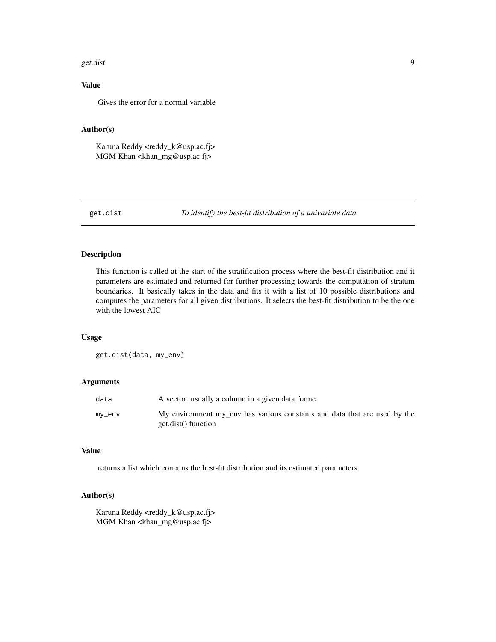#### <span id="page-8-0"></span>get.dist 9

#### Value

Gives the error for a normal variable

#### Author(s)

Karuna Reddy <reddy\_k@usp.ac.fj> MGM Khan <khan\_mg@usp.ac.fj>

get.dist *To identify the best-fit distribution of a univariate data*

#### Description

This function is called at the start of the stratification process where the best-fit distribution and it parameters are estimated and returned for further processing towards the computation of stratum boundaries. It basically takes in the data and fits it with a list of 10 possible distributions and computes the parameters for all given distributions. It selects the best-fit distribution to be the one with the lowest AIC

#### Usage

get.dist(data, my\_env)

#### Arguments

| data   | A vector: usually a column in a given data frame                                                 |
|--------|--------------------------------------------------------------------------------------------------|
| my_env | My environment my env has various constants and data that are used by the<br>get.dist() function |

#### Value

returns a list which contains the best-fit distribution and its estimated parameters

#### Author(s)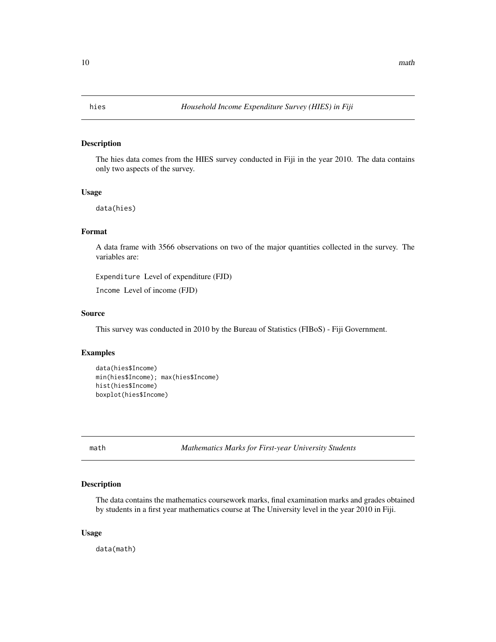<span id="page-9-0"></span>

#### Description

The hies data comes from the HIES survey conducted in Fiji in the year 2010. The data contains only two aspects of the survey.

#### Usage

data(hies)

#### Format

A data frame with 3566 observations on two of the major quantities collected in the survey. The variables are:

Expenditure Level of expenditure (FJD)

Income Level of income (FJD)

#### Source

This survey was conducted in 2010 by the Bureau of Statistics (FIBoS) - Fiji Government.

#### Examples

```
data(hies$Income)
min(hies$Income); max(hies$Income)
hist(hies$Income)
boxplot(hies$Income)
```
math *Mathematics Marks for First-year University Students*

#### Description

The data contains the mathematics coursework marks, final examination marks and grades obtained by students in a first year mathematics course at The University level in the year 2010 in Fiji.

#### Usage

data(math)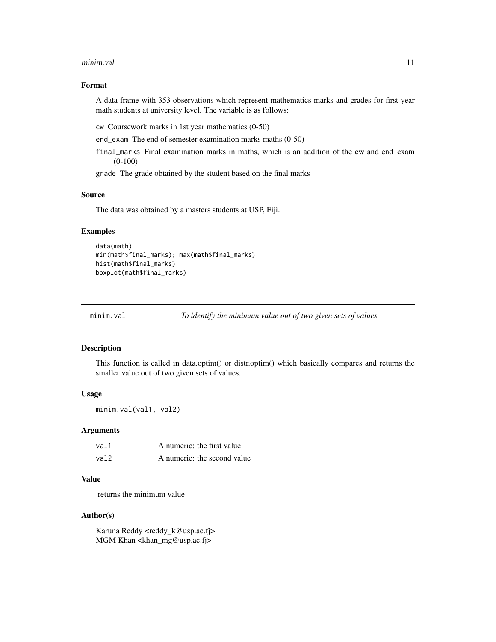#### <span id="page-10-0"></span>minim.val the contract of the contract of the contract of the contract of the contract of the contract of the contract of the contract of the contract of the contract of the contract of the contract of the contract of the

#### Format

A data frame with 353 observations which represent mathematics marks and grades for first year math students at university level. The variable is as follows:

cw Coursework marks in 1st year mathematics (0-50)

end\_exam The end of semester examination marks maths (0-50)

final\_marks Final examination marks in maths, which is an addition of the cw and end\_exam (0-100)

grade The grade obtained by the student based on the final marks

#### Source

The data was obtained by a masters students at USP, Fiji.

#### Examples

```
data(math)
min(math$final_marks); max(math$final_marks)
hist(math$final_marks)
boxplot(math$final_marks)
```

```
minim.val To identify the minimum value out of two given sets of values
```
#### Description

This function is called in data.optim() or distr.optim() which basically compares and returns the smaller value out of two given sets of values.

#### Usage

minim.val(val1, val2)

#### Arguments

| val1 | A numeric: the first value  |
|------|-----------------------------|
| val2 | A numeric: the second value |

#### Value

returns the minimum value

#### Author(s)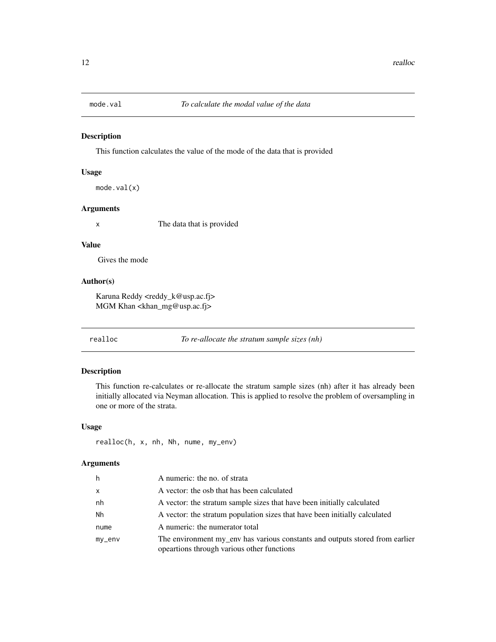<span id="page-11-0"></span>

#### Description

This function calculates the value of the mode of the data that is provided

#### Usage

mode.val(x)

#### Arguments

x The data that is provided

#### Value

Gives the mode

#### Author(s)

Karuna Reddy <reddy\_k@usp.ac.fj> MGM Khan <khan\_mg@usp.ac.fj>

realloc *To re-allocate the stratum sample sizes (nh)*

#### Description

This function re-calculates or re-allocate the stratum sample sizes (nh) after it has already been initially allocated via Neyman allocation. This is applied to resolve the problem of oversampling in one or more of the strata.

#### Usage

realloc(h, x, nh, Nh, nume, my\_env)

#### Arguments

| h            | A numeric: the no. of strata                                                                                               |
|--------------|----------------------------------------------------------------------------------------------------------------------------|
| $\mathsf{x}$ | A vector: the osb that has been calculated                                                                                 |
| nh           | A vector: the stratum sample sizes that have been initially calculated                                                     |
| Nh           | A vector: the stratum population sizes that have been initially calculated                                                 |
| nume         | A numeric: the numerator total                                                                                             |
| mv_env       | The environment my_env has various constants and outputs stored from earlier<br>opeartions through various other functions |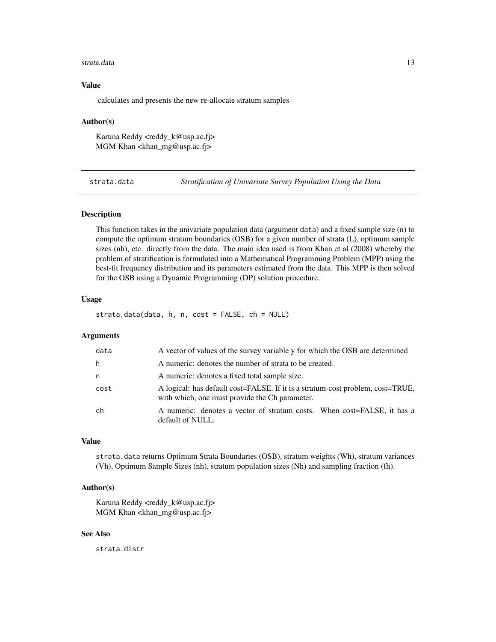#### <span id="page-12-0"></span>strata.data 13

#### Value

calculates and presents the new re-allocate stratum samples

#### Author(s)

Karuna Reddy <reddy k@usp.ac.fj> MGM Khan <khan\_mg@usp.ac.fj>

strata.data *Stratification of Univariate Survey Population Using the Data*

#### Description

This function takes in the univariate population data (argument data) and a fixed sample size (n) to compute the optimum stratum boundaries (OSB) for a given number of strata (L), optimum sample sizes (nh), etc. directly from the data. The main idea used is from Khan et al (2008) whereby the problem of stratification is formulated into a Mathematical Programming Problem (MPP) using the best-fit frequency distribution and its parameters estimated from the data. This MPP is then solved for the OSB using a Dynamic Programming (DP) solution procedure.

#### Usage

strata.data(data, h, n, cost = FALSE, ch = NULL)

#### Arguments

| data | A vector of values of the survey variable y for which the OSB are determined                                                     |
|------|----------------------------------------------------------------------------------------------------------------------------------|
| h    | A numeric: denotes the number of strata to be created.                                                                           |
| n    | A numeric: denotes a fixed total sample size.                                                                                    |
| cost | A logical: has default cost=FALSE. If it is a stratum-cost problem, cost=TRUE,<br>with which, one must provide the Ch parameter. |
| ch   | A numeric: denotes a vector of stratum costs. When cost=FALSE, it has a<br>default of NULL.                                      |

#### Value

strata.data returns Optimum Strata Boundaries (OSB), stratum weights (Wh), stratum variances (Vh), Optimum Sample Sizes (nh), stratum population sizes (Nh) and sampling fraction (fh).

#### Author(s)

Karuna Reddy <reddy k@usp.ac.fj> MGM Khan <khan\_mg@usp.ac.fj>

#### See Also

strata.distr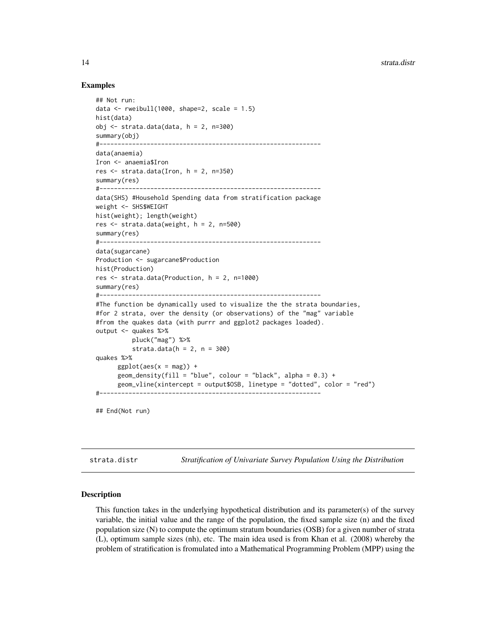#### Examples

```
## Not run:
data \le rweibull(1000, shape=2, scale = 1.5)
hist(data)
obj \leftarrow \text{strata.dat}(data, h = 2, n=300)summary(obj)
#-------------------------------------------------------------
data(anaemia)
Iron <- anaemia$Iron
res \le strata.data(Iron, h = 2, n=350)
summary(res)
#-------------------------------------------------------------
data(SHS) #Household Spending data from stratification package
weight <- SHS$WEIGHT
hist(weight); length(weight)
res \le strata.data(weight, h = 2, n=500)
summary(res)
#-------------------------------------------------------------
data(sugarcane)
Production <- sugarcane$Production
hist(Production)
res <- strata.data(Production, h = 2, n=1000)
summary(res)
#-------------------------------------------------------------
#The function be dynamically used to visualize the the strata boundaries,
#for 2 strata, over the density (or observations) of the "mag" variable
#from the quakes data (with purrr and ggplot2 packages loaded).
output <- quakes %>%
          pluck("mag") %>%
          strata.data(h = 2, n = 300)quakes %>%
      ggplot(aes(x = mag)) +geom_density(fill = "blue", colour = "black", alpha = 0.3) +
      geom_vline(xintercept = output$OSB, linetype = "dotted", color = "red")
#-------------------------------------------------------------
```
## End(Not run)

strata.distr *Stratification of Univariate Survey Population Using the Distribution*

#### Description

This function takes in the underlying hypothetical distribution and its parameter(s) of the survey variable, the initial value and the range of the population, the fixed sample size (n) and the fixed population size (N) to compute the optimum stratum boundaries (OSB) for a given number of strata (L), optimum sample sizes (nh), etc. The main idea used is from Khan et al. (2008) whereby the problem of stratification is fromulated into a Mathematical Programming Problem (MPP) using the

<span id="page-13-0"></span>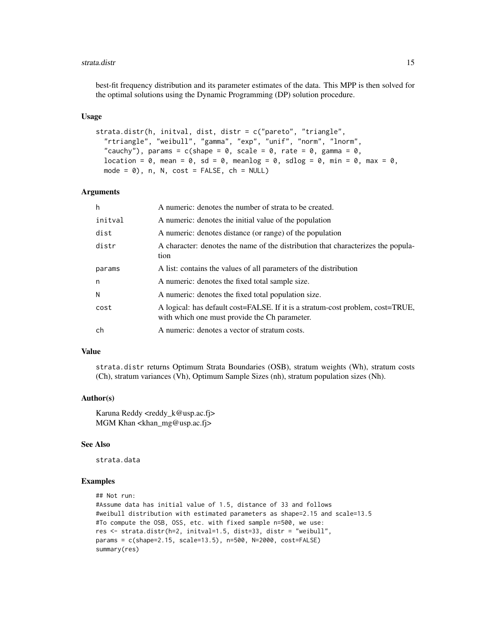#### strata.distr and 15

best-fit frequency distribution and its parameter estimates of the data. This MPP is then solved for the optimal solutions using the Dynamic Programming (DP) solution procedure.

#### Usage

```
strata.distr(h, initval, dist, distr = c("pareto", "triangle",
  "rtriangle", "weibull", "gamma", "exp", "unif", "norm", "lnorm",
  "cauchy"), params = c(shape = 0, scale = 0, rate = 0, gamma = 0,
  location = 0, mean = 0, sd = 0, meanlog = 0, sdlog = 0, min = 0, max = 0,
 mode = \emptyset), n, N, cost = FALSE, ch = NULL)
```
#### Arguments

| h       | A numeric: denotes the number of strata to be created.                                                                          |
|---------|---------------------------------------------------------------------------------------------------------------------------------|
| initval | A numeric: denotes the initial value of the population                                                                          |
| dist    | A numeric: denotes distance (or range) of the population                                                                        |
| distr   | A character: denotes the name of the distribution that characterizes the popula-<br>tion                                        |
| params  | A list: contains the values of all parameters of the distribution                                                               |
| n       | A numeric: denotes the fixed total sample size.                                                                                 |
| N       | A numeric: denotes the fixed total population size.                                                                             |
| cost    | A logical: has default cost=FALSE. If it is a stratum-cost problem, cost=TRUE,<br>with which one must provide the Ch parameter. |
| ch      | A numeric: denotes a vector of stratum costs.                                                                                   |

#### Value

strata.distr returns Optimum Strata Boundaries (OSB), stratum weights (Wh), stratum costs (Ch), stratum variances (Vh), Optimum Sample Sizes (nh), stratum population sizes (Nh).

#### Author(s)

Karuna Reddy <reddy\_k@usp.ac.fj> MGM Khan <khan\_mg@usp.ac.fj>

#### See Also

strata.data

#### Examples

```
## Not run:
#Assume data has initial value of 1.5, distance of 33 and follows
#weibull distribution with estimated parameters as shape=2.15 and scale=13.5
#To compute the OSB, OSS, etc. with fixed sample n=500, we use:
res <- strata.distr(h=2, initval=1.5, dist=33, distr = "weibull",
params = c(shape=2.15, scale=13.5), n=500, N=2000, cost=FALSE)
summary(res)
```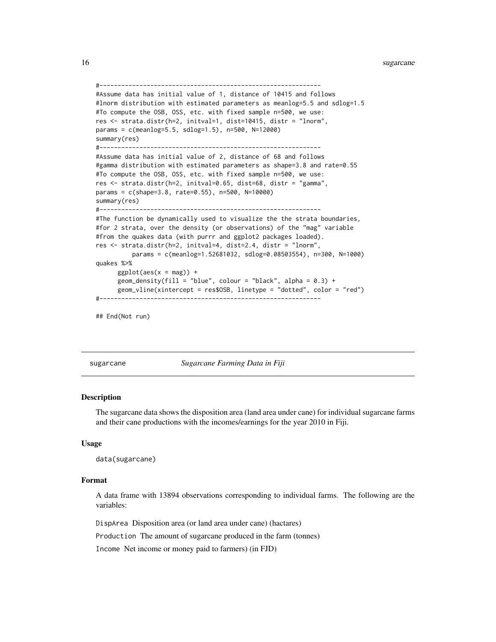16 sugarcane sugarcane sugarcane sugarcane sugarcane sugarcane sugarcane sugarcane sugarcane sugarcane sugarcane

```
#-------------------------------------------------------------
#Assume data has initial value of 1, distance of 10415 and follows
#lnorm distribution with estimated parameters as meanlog=5.5 and sdlog=1.5
#To compute the OSB, OSS, etc. with fixed sample n=500, we use:
res <- strata.distr(h=2, initval=1, dist=10415, distr = "lnorm",
params = c(meanlog=5.5, sdlog=1.5), n=500, N=12000)
summary(res)
#-------------------------------------------------------------
#Assume data has initial value of 2, distance of 68 and follows
#gamma distribution with estimated parameters as shape=3.8 and rate=0.55
#To compute the OSB, OSS, etc. with fixed sample n=500, we use:
res <- strata.distr(h=2, initval=0.65, dist=68, distr = "gamma",
params = c(shape=3.8, rate=0.55), n=500, N=10000)
summary(res)
#-------------------------------------------------------------
#The function be dynamically used to visualize the the strata boundaries,
#for 2 strata, over the density (or observations) of the "mag" variable
#from the quakes data (with purrr and ggplot2 packages loaded).
res <- strata.distr(h=2, initval=4, dist=2.4, distr = "lnorm",
          params = c(meanlog=1.52681032, sdlog=0.08503554), n=300, N=1000)
quakes %>%
      ggplot(aes(x = mag)) +geom_density(fill = "blue", colour = "black", alpha = 0.3) +
      geom_vline(xintercept = res$OSB, linetype = "dotted", color = "red")
#-------------------------------------------------------------
```

```
## End(Not run)
```
sugarcane *Sugarcane Farming Data in Fiji*

#### Description

The sugarcane data shows the disposition area (land area under cane) for individual sugarcane farms and their cane productions with the incomes/earnings for the year 2010 in Fiji.

#### Usage

```
data(sugarcane)
```
#### Format

A data frame with 13894 observations corresponding to individual farms. The following are the variables:

DispArea Disposition area (or land area under cane) (hactares)

Production The amount of sugarcane produced in the farm (tonnes)

Income Net income or money paid to farmers) (in FJD)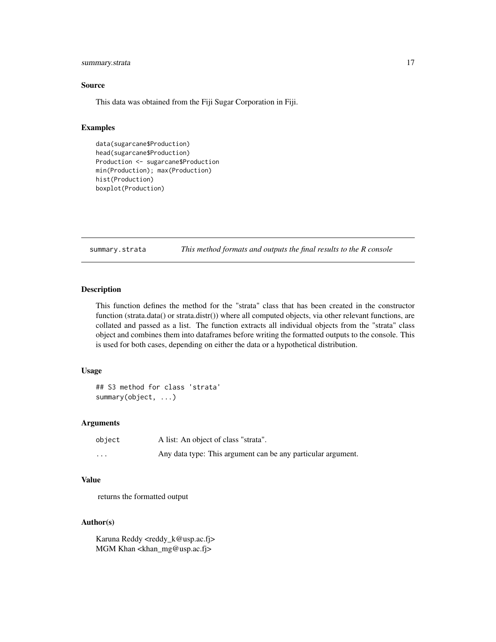#### <span id="page-16-0"></span>summary.strata 17

#### Source

This data was obtained from the Fiji Sugar Corporation in Fiji.

#### Examples

```
data(sugarcane$Production)
head(sugarcane$Production)
Production <- sugarcane$Production
min(Production); max(Production)
hist(Production)
boxplot(Production)
```
summary.strata *This method formats and outputs the final results to the R console*

#### Description

This function defines the method for the "strata" class that has been created in the constructor function (strata.data() or strata.distr()) where all computed objects, via other relevant functions, are collated and passed as a list. The function extracts all individual objects from the "strata" class object and combines them into dataframes before writing the formatted outputs to the console. This is used for both cases, depending on either the data or a hypothetical distribution.

#### Usage

```
## S3 method for class 'strata'
summary(object, ...)
```
#### Arguments

| object   | A list: An object of class "strata".                         |
|----------|--------------------------------------------------------------|
| $\cdots$ | Any data type: This argument can be any particular argument. |

#### Value

returns the formatted output

#### Author(s)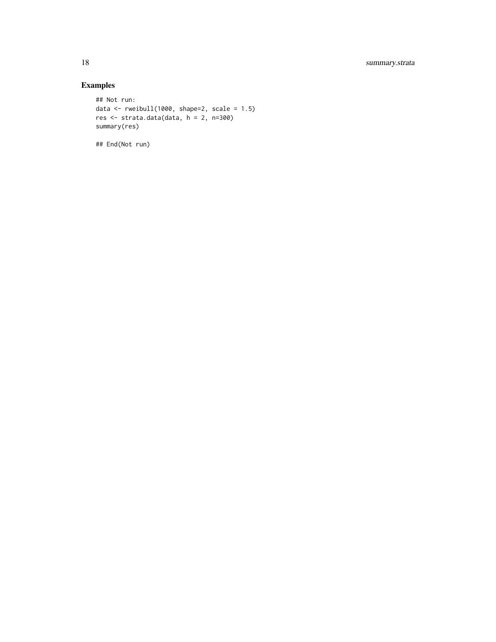### Examples

```
## Not run:
data <- rweibull(1000, shape=2, scale = 1.5)
res <- strata.data(data, h = 2, n=300)
summary(res)
```
## End(Not run)